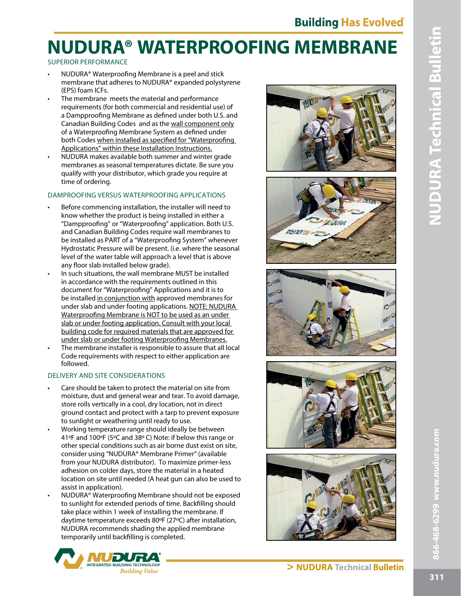### SUPERIOR PERFORMANCE

- NUDURA® Waterproofng Membrane is a peel and stick membrane that adheres to NUDURA® expanded polystyrene (EPS) foam ICFs.
- The membrane meets the material and performance requirements (for both commercial and residential use) of a Dampproofng Membrane as defned under both U.S. and Canadian Building Codes and as the wall component only of a Waterproofng Membrane System as defned under both Codes when installed as specified for "Waterproofing Applications" within these Installation Instructions.
- NUDURA makes available both summer and winter grade membranes as seasonal temperatures dictate. Be sure you qualify with your distributor, which grade you require at time of ordering.

### DAMPROOFING VERSUS WATERPROOFING APPLICATIONS

- Before commencing installation, the installer will need to know whether the product is being installed in either a "Dampproofng" or "Waterproofng" application. Both U.S. and Canadian Building Codes require wall membranes to be installed as PART of a "Waterproofng System" whenever Hydrostatic Pressure will be present. (i.e. where the seasonal level of the water table will approach a level that is above any floor slab installed below grade).
- In such situations, the wall membrane MUST be installed in accordance with the requirements outlined in this document for "Waterproofng" Applications and it is to be installed in conjunction with approved membranes for under slab and under footing applications. NOTE: NUDURA Waterproofng Membrane is NOT to be used as an under slab or under footing application. Consult with your local building code for required materials that are approved for under slab or under footing Waterproofng Membranes.
- The membrane installer is responsible to assure that all local Code requirements with respect to either application are followed.

### DELIVERY AND SITE CONSIDERATIONS

- Care should be taken to protect the material on site from moisture, dust and general wear and tear. To avoid damage, store rolls vertically in a cool, dry location, not in direct ground contact and protect with a tarp to prevent exposure to sunlight or weathering until ready to use.
- Working temperature range should ideally be between 41ºF and 100ºF (5ºC and 38º C) Note: if below this range or other special conditions such as air borne dust exist on site, consider using "NUDURA® Membrane Primer" (available from your NUDURA distributor). To maximize primer-less adhesion on colder days, store the material in a heated location on site until needed (A heat gun can also be used to assist in application).
- NUDURA® Waterproofng Membrane should not be exposed to sunlight for extended periods of time. Backflling should take place within 1 week of installing the membrane. If daytime temperature exceeds 80ºF (27ºC) after installation, NUDURA recommends shading the applied membrane temporarily until backflling is completed.











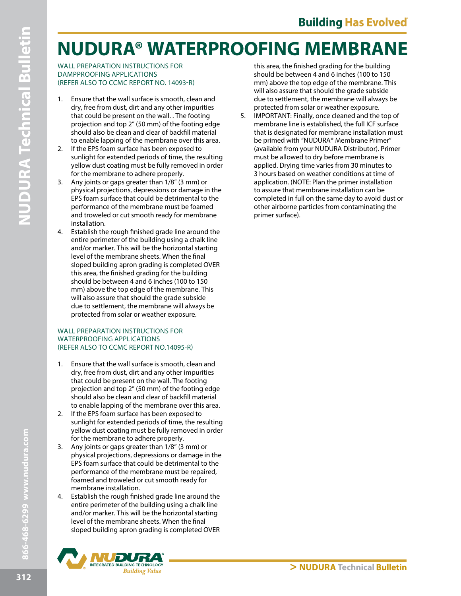WALL PREPARATION INSTRUCTIONS FOR DAMPPROOFING APPLICATIONS (REFER ALSO TO CCMC REPORT NO. 14093-R)

- 1. Ensure that the wall surface is smooth, clean and dry, free from dust, dirt and any other impurities that could be present on the wall. . The footing projection and top 2" (50 mm) of the footing edge should also be clean and clear of backfll material to enable lapping of the membrane over this area.
- 2. If the EPS foam surface has been exposed to sunlight for extended periods of time, the resulting yellow dust coating must be fully removed in order for the membrane to adhere properly.
- 3. Any joints or gaps greater than 1/8" (3 mm) or physical projections, depressions or damage in the EPS foam surface that could be detrimental to the performance of the membrane must be foamed and troweled or cut smooth ready for membrane installation.
- 4. Establish the rough fnished grade line around the entire perimeter of the building using a chalk line and/or marker. This will be the horizontal starting level of the membrane sheets. When the fnal sloped building apron grading is completed OVER this area, the fnished grading for the building should be between 4 and 6 inches (100 to 150 mm) above the top edge of the membrane. This will also assure that should the grade subside due to settlement, the membrane will always be protected from solar or weather exposure.

#### WALL PREPARATION INSTRUCTIONS FOR WATERPROOFING APPLICATIONS (REFER ALSO TO CCMC REPORT NO.14095-R)

- 1. Ensure that the wall surface is smooth, clean and dry, free from dust, dirt and any other impurities that could be present on the wall. The footing projection and top 2" (50 mm) of the footing edge should also be clean and clear of backfll material to enable lapping of the membrane over this area.
- 2. If the EPS foam surface has been exposed to sunlight for extended periods of time, the resulting yellow dust coating must be fully removed in order for the membrane to adhere properly.
- 3. Any joints or gaps greater than 1/8" (3 mm) or physical projections, depressions or damage in the EPS foam surface that could be detrimental to the performance of the membrane must be repaired, foamed and troweled or cut smooth ready for membrane installation.
- 4. Establish the rough fnished grade line around the entire perimeter of the building using a chalk line and/or marker. This will be the horizontal starting level of the membrane sheets. When the fnal sloped building apron grading is completed OVER



this area, the fnished grading for the building should be between 4 and 6 inches (100 to 150 mm) above the top edge of the membrane. This will also assure that should the grade subside due to settlement, the membrane will always be protected from solar or weather exposure.

5. IMPORTANT: Finally, once cleaned and the top of membrane line is established, the full ICF surface that is designated for membrane installation must be primed with "NUDURA® Membrane Primer" (available from your NUDURA Distributor). Primer must be allowed to dry before membrane is applied. Drying time varies from 30 minutes to 3 hours based on weather conditions at time of application. (NOTE: Plan the primer installation to assure that membrane installation can be completed in full on the same day to avoid dust or other airborne particles from contaminating the primer surface).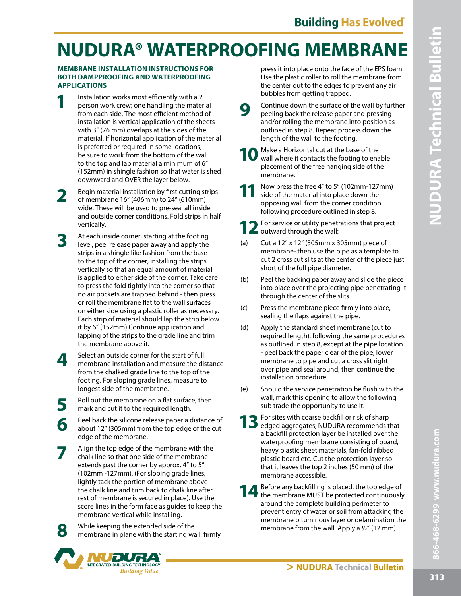#### **MEMBRANE INSTALLATION INSTRUCTIONS FOR BOTH DAMPPROOFING AND WATERPROOFING APPLICATIONS**

- **1** Installation works most efficiently with a 2 person work crew; one handling the material from each side. The most efficient method of installation is vertical application of the sheets with 3" (76 mm) overlaps at the sides of the material. If horizontal application of the material is preferred or required in some locations, be sure to work from the bottom of the wall to the top and lap material a minimum of 6" (152mm) in shingle fashion so that water is shed downward and OVER the layer below.
- **2** Begin material installation by first cutting strips of membrane 16" (406mm) to 24" (610mm) wide. These will be used to pre-seal all inside and outside corner conditions. Fold strips in half vertically.
- **3** At each inside corner, starting at the footing level, peel release paper away and apply the strips in a shingle like fashion from the base to the top of the corner, installing the strips vertically so that an equal amount of material is applied to either side of the corner. Take care to press the fold tightly into the corner so that no air pockets are trapped behind - then press or roll the membrane fat to the wall surfaces on either side using a plastic roller as necessary. Each strip of material should lap the strip below it by 6" (152mm) Continue application and lapping of the strips to the grade line and trim the membrane above it.
- **4** Select an outside corner for the start of full membrane installation and measure the distance from the chalked grade line to the top of the footing. For sloping grade lines, measure to longest side of the membrane.
- **5** Roll out the membrane on a flat surface, then<br>mark and cut it to the required length mark and cut it to the required length.
- **6** Peel back the silicone release paper a distance of about 12" (305mm) from the top edge of the cut edge of the membrane.
- **7** Align the top edge of the membrane with the chalk line so that one side of the membrane extends past the corner by approx. 4" to 5" (102mm -127mm). (For sloping grade lines, lightly tack the portion of membrane above the chalk line and trim back to chalk line after rest of membrane is secured in place). Use the score lines in the form face as guides to keep the membrane vertical while installing.
- **8** While keeping the extended side of the membrane in plane with the starting wall, frmly



press it into place onto the face of the EPS foam. Use the plastic roller to roll the membrane from the center out to the edges to prevent any air bubbles from getting trapped.

- **9** Continue down the surface of the wall by further peeling back the release paper and pressing and/or rolling the membrane into position as outlined in step 8. Repeat process down the length of the wall to the footing.
	- **10** Make a Horizontal cut at the base of the wall where it contacts the footing to enable placement of the free hanging side of the membrane.
- **11** Now press the free 4" to 5" (102mm-127mm) side of the material into place down the opposing wall from the corner condition following procedure outlined in step 8.

**12** For service or utility penetrations that project **Z** outward through the wall:

- (a) Cut a 12" x 12" (305mm x 305mm) piece of membrane- then use the pipe as a template to cut 2 cross cut slits at the center of the piece just short of the full pipe diameter.
- (b) Peel the backing paper away and slide the piece into place over the projecting pipe penetrating it through the center of the slits.
- (c) Press the membrane piece frmly into place, sealing the faps against the pipe.
- (d) Apply the standard sheet membrane (cut to required length), following the same procedures as outlined in step 8, except at the pipe location - peel back the paper clear of the pipe, lower membrane to pipe and cut a cross slit right over pipe and seal around, then continue the installation procedure
- (e) Should the service penetration be fush with the wall, mark this opening to allow the following sub trade the opportunity to use it.
- 13 For sites with coarse backfill or risk of sharp edged aggregates, NUDURA recommends that a backfll protection layer be installed over the waterproofng membrane consisting of board, heavy plastic sheet materials, fan-fold ribbed plastic board etc. Cut the protection layer so that it leaves the top 2 inches (50 mm) of the membrane accessible.
- 14 Before any backfilling is placed, the top edge of the membrane MUST be protected continuously around the complete building perimeter to prevent entry of water or soil from attacking the membrane bituminous layer or delamination the membrane from the wall. Apply a ½" (12 mm)